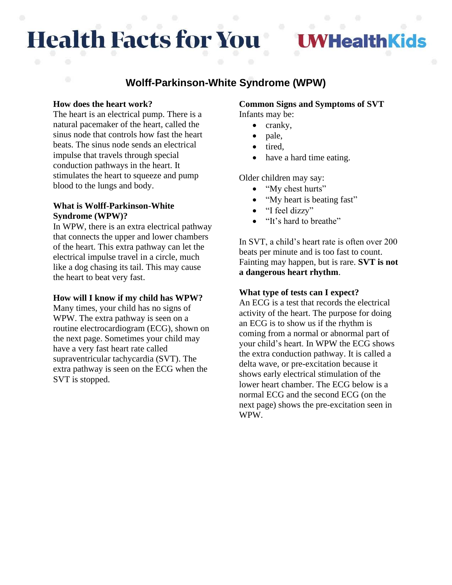# **Health Facts for You**

# **/HealthKids**

# **Wolff-Parkinson-White Syndrome (WPW)**

#### **How does the heart work?**

The heart is an electrical pump. There is a natural pacemaker of the heart, called the sinus node that controls how fast the heart beats. The sinus node sends an electrical impulse that travels through special conduction pathways in the heart. It stimulates the heart to squeeze and pump blood to the lungs and body.

# **What is Wolff-Parkinson-White Syndrome (WPW)?**

In WPW, there is an extra electrical pathway that connects the upper and lower chambers of the heart. This extra pathway can let the electrical impulse travel in a circle, much like a dog chasing its tail. This may cause the heart to beat very fast.

#### **How will I know if my child has WPW?**

Many times, your child has no signs of WPW. The extra pathway is seen on a routine electrocardiogram (ECG), shown on the next page. Sometimes your child may have a very fast heart rate called supraventricular tachycardia (SVT). The extra pathway is seen on the ECG when the SVT is stopped.

#### **Common Signs and Symptoms of SVT** Infants may be:

- cranky,
- pale,
- tired,
- have a hard time eating.

Older children may say:

- "My chest hurts"
- "My heart is beating fast"
- "I feel dizzy"
- "It's hard to breathe"

In SVT, a child's heart rate is often over 200 beats per minute and is too fast to count. Fainting may happen, but is rare. **SVT is not a dangerous heart rhythm**.

# **What type of tests can I expect?**

An ECG is a test that records the electrical activity of the heart. The purpose for doing an ECG is to show us if the rhythm is coming from a normal or abnormal part of your child's heart. In WPW the ECG shows the extra conduction pathway. It is called a delta wave, or pre-excitation because it shows early electrical stimulation of the lower heart chamber. The ECG below is a normal ECG and the second ECG (on the next page) shows the pre-excitation seen in WPW.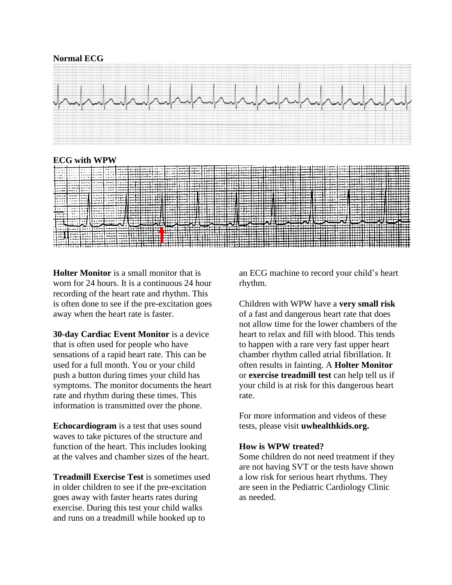

**Holter Monitor** is a small monitor that is worn for 24 hours. It is a continuous 24 hour recording of the heart rate and rhythm. This is often done to see if the pre-excitation goes

**30-day Cardiac Event Monitor** is a device that is often used for people who have sensations of a rapid heart rate. This can be used for a full month. You or your child push a button during times your child has symptoms. The monitor documents the heart rate and rhythm during these times. This information is transmitted over the phone.

away when the heart rate is faster.

**Echocardiogram** is a test that uses sound waves to take pictures of the structure and function of the heart. This includes looking at the valves and chamber sizes of the heart.

**Treadmill Exercise Test** is sometimes used in older children to see if the pre-excitation goes away with faster hearts rates during exercise. During this test your child walks and runs on a treadmill while hooked up to

an ECG machine to record your child's heart rhythm.

Children with WPW have a **very small risk** of a fast and dangerous heart rate that does not allow time for the lower chambers of the heart to relax and fill with blood. This tends to happen with a rare very fast upper heart chamber rhythm called atrial fibrillation. It often results in fainting. A **Holter Monitor** or **exercise treadmill test** can help tell us if your child is at risk for this dangerous heart rate.

For more information and videos of these tests, please visit **uwhealthkids.org.**

#### **How is WPW treated?**

Some children do not need treatment if they are not having SVT or the tests have shown a low risk for serious heart rhythms. They are seen in the Pediatric Cardiology Clinic as needed.